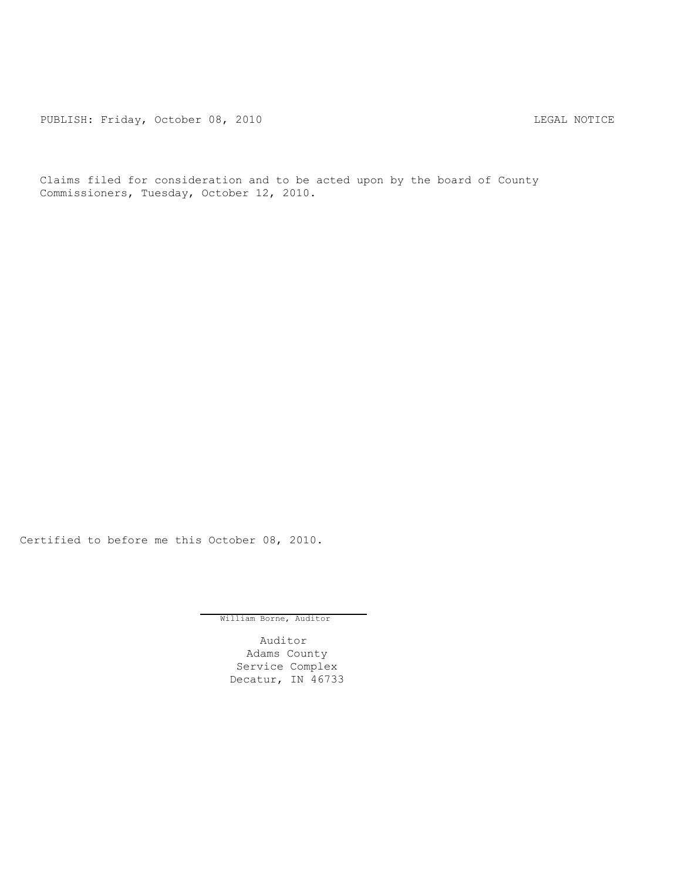PUBLISH: Friday, October 08, 2010 CHA CHANGE CONTROL CONTROL CONTROL CONTROL CONTROL CONTROL CONTROL CONTROL CO

Claims filed for consideration and to be acted upon by the board of County Commissioners, Tuesday, October 12, 2010.

Certified to before me this October 08, 2010.

William Borne, Auditor

Auditor Adams County Service Complex Decatur, IN 46733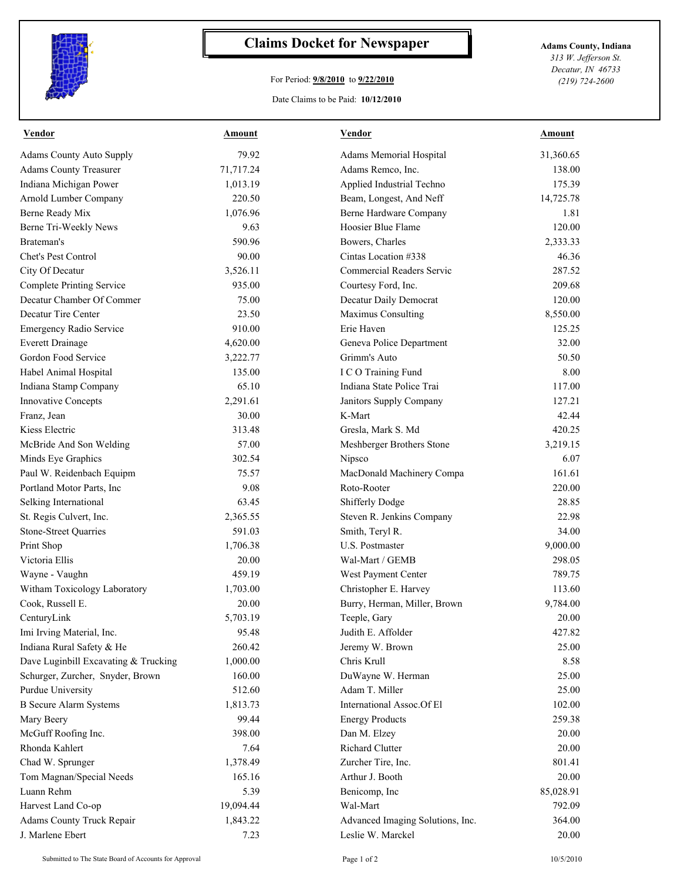

## **Claims Docket for Newspaper Adams County, Indiana**

## For Period: **9/8/2010** to **9/22/2010**

Date Claims to be Paid: **10/12/2010**

*313 W. Jefferson St. Decatur, IN 46733 (219) 724-2600*

| Vendor                               | <b>Amount</b> | <b>Vendor</b>                    | Amount    |
|--------------------------------------|---------------|----------------------------------|-----------|
| <b>Adams County Auto Supply</b>      | 79.92         | Adams Memorial Hospital          | 31,360.65 |
| <b>Adams County Treasurer</b>        | 71,717.24     | Adams Remco, Inc.                | 138.00    |
| Indiana Michigan Power               | 1,013.19      | Applied Industrial Techno        | 175.39    |
| <b>Arnold Lumber Company</b>         | 220.50        | Beam, Longest, And Neff          | 14,725.78 |
| Berne Ready Mix                      | 1,076.96      | Berne Hardware Company           | 1.81      |
| Berne Tri-Weekly News                | 9.63          | Hoosier Blue Flame               | 120.00    |
| Brateman's                           | 590.96        | Bowers, Charles                  | 2,333.33  |
| Chet's Pest Control                  | 90.00         | Cintas Location #338             | 46.36     |
| City Of Decatur                      | 3,526.11      | Commercial Readers Servic        | 287.52    |
| <b>Complete Printing Service</b>     | 935.00        | Courtesy Ford, Inc.              | 209.68    |
| Decatur Chamber Of Commer            | 75.00         | Decatur Daily Democrat           | 120.00    |
| Decatur Tire Center                  | 23.50         | Maximus Consulting               | 8,550.00  |
| <b>Emergency Radio Service</b>       | 910.00        | Erie Haven                       | 125.25    |
| <b>Everett Drainage</b>              | 4,620.00      | Geneva Police Department         | 32.00     |
| Gordon Food Service                  | 3,222.77      | Grimm's Auto                     | 50.50     |
| Habel Animal Hospital                | 135.00        | I C O Training Fund              | 8.00      |
| Indiana Stamp Company                | 65.10         | Indiana State Police Trai        | 117.00    |
| <b>Innovative Concepts</b>           | 2,291.61      | Janitors Supply Company          | 127.21    |
| Franz, Jean                          | 30.00         | K-Mart                           | 42.44     |
| Kiess Electric                       | 313.48        | Gresla, Mark S. Md               | 420.25    |
| McBride And Son Welding              | 57.00         | Meshberger Brothers Stone        | 3,219.15  |
| Minds Eye Graphics                   | 302.54        | Nipsco                           | 6.07      |
| Paul W. Reidenbach Equipm            | 75.57         | MacDonald Machinery Compa        | 161.61    |
| Portland Motor Parts, Inc            | 9.08          | Roto-Rooter                      | 220.00    |
| Selking International                | 63.45         | Shifferly Dodge                  | 28.85     |
| St. Regis Culvert, Inc.              | 2,365.55      | Steven R. Jenkins Company        | 22.98     |
| <b>Stone-Street Quarries</b>         | 591.03        | Smith, Teryl R.                  | 34.00     |
| Print Shop                           | 1,706.38      | U.S. Postmaster                  | 9,000.00  |
| Victoria Ellis                       | 20.00         | Wal-Mart / GEMB                  | 298.05    |
| Wayne - Vaughn                       | 459.19        | West Payment Center              | 789.75    |
| Witham Toxicology Laboratory         | 1,703.00      | Christopher E. Harvey            | 113.60    |
| Cook, Russell E.                     | 20.00         | Burry, Herman, Miller, Brown     | 9,784.00  |
| CenturyLink                          | 5,703.19      | Teeple, Gary                     | 20.00     |
| Imi Irving Material, Inc.            | 95.48         | Judith E. Affolder               | 427.82    |
| Indiana Rural Safety & He            | 260.42        | Jeremy W. Brown                  | 25.00     |
| Dave Luginbill Excavating & Trucking | 1,000.00      | Chris Krull                      | 8.58      |
| Schurger, Zurcher, Snyder, Brown     | 160.00        | DuWayne W. Herman                | 25.00     |
| <b>Purdue University</b>             | 512.60        | Adam T. Miller                   | 25.00     |
| <b>B</b> Secure Alarm Systems        | 1,813.73      | International Assoc.Of El        | 102.00    |
| Mary Beery                           | 99.44         | <b>Energy Products</b>           | 259.38    |
| McGuff Roofing Inc.                  | 398.00        | Dan M. Elzey                     | 20.00     |
| Rhonda Kahlert                       | 7.64          | Richard Clutter                  | 20.00     |
| Chad W. Sprunger                     | 1,378.49      | Zurcher Tire, Inc.               | 801.41    |
| Tom Magnan/Special Needs             | 165.16        | Arthur J. Booth                  | 20.00     |
| Luann Rehm                           | 5.39          | Benicomp, Inc                    | 85,028.91 |
| Harvest Land Co-op                   | 19,094.44     | Wal-Mart                         | 792.09    |
| <b>Adams County Truck Repair</b>     | 1,843.22      | Advanced Imaging Solutions, Inc. | 364.00    |
| J. Marlene Ebert                     | 7.23          | Leslie W. Marckel                | 20.00     |